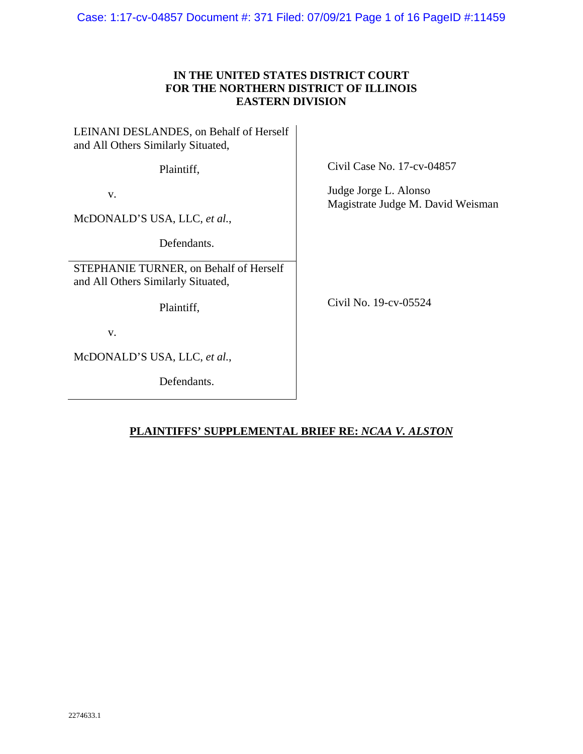Case: 1:17-cv-04857 Document #: 371 Filed: 07/09/21 Page 1 of 16 PageID #:11459

## **IN THE UNITED STATES DISTRICT COURT FOR THE NORTHERN DISTRICT OF ILLINOIS EASTERN DIVISION**

LEINANI DESLANDES, on Behalf of Herself and All Others Similarly Situated, Plaintiff, v. McDONALD'S USA, LLC, *et al.*, Defendants. STEPHANIE TURNER, on Behalf of Herself and All Others Similarly Situated, Plaintiff, v. McDONALD'S USA, LLC, *et al.*,

Defendants.

Civil Case No. 17-cv-04857

Judge Jorge L. Alonso Magistrate Judge M. David Weisman

Civil No. 19-cv-05524

# **PLAINTIFFS' SUPPLEMENTAL BRIEF RE:** *NCAA V. ALSTON*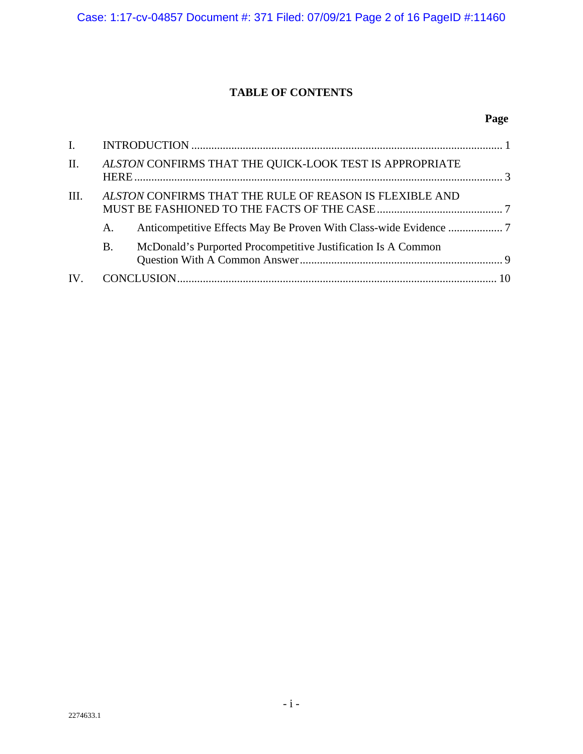# **TABLE OF CONTENTS**

# **Page**

| $\mathbf{I}$ . |    |                                                               |  |
|----------------|----|---------------------------------------------------------------|--|
| II.            |    | ALSTON CONFIRMS THAT THE QUICK-LOOK TEST IS APPROPRIATE       |  |
| III.           |    | ALSTON CONFIRMS THAT THE RULE OF REASON IS FLEXIBLE AND       |  |
|                | A. |                                                               |  |
|                | B. | McDonald's Purported Procompetitive Justification Is A Common |  |
|                |    |                                                               |  |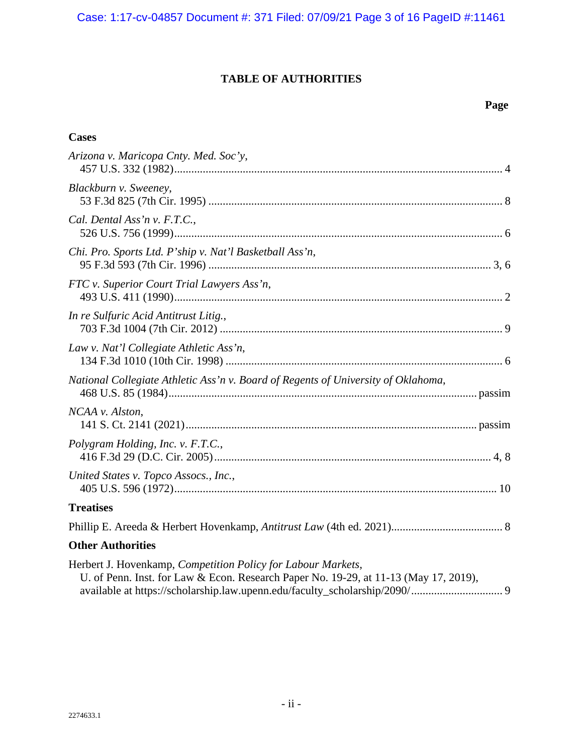## **TABLE OF AUTHORITIES**

## **Page**

| <b>Cases</b>                                                                                                                                         |
|------------------------------------------------------------------------------------------------------------------------------------------------------|
| Arizona v. Maricopa Cnty. Med. Soc'y,                                                                                                                |
| Blackburn v. Sweeney,                                                                                                                                |
| Cal. Dental Ass'n v. F.T.C.,                                                                                                                         |
| Chi. Pro. Sports Ltd. P'ship v. Nat'l Basketball Ass'n,                                                                                              |
| FTC v. Superior Court Trial Lawyers Ass'n,                                                                                                           |
| In re Sulfuric Acid Antitrust Litig.,                                                                                                                |
| Law v. Nat'l Collegiate Athletic Ass'n,                                                                                                              |
| National Collegiate Athletic Ass'n v. Board of Regents of University of Oklahoma,                                                                    |
| NCAA v. Alston,                                                                                                                                      |
| Polygram Holding, Inc. v. F.T.C.,                                                                                                                    |
| United States v. Topco Assocs., Inc.,                                                                                                                |
| <b>Treatises</b>                                                                                                                                     |
|                                                                                                                                                      |
| <b>Other Authorities</b>                                                                                                                             |
| Herbert J. Hovenkamp, Competition Policy for Labour Markets,<br>U. of Penn. Inst. for Law & Econ. Research Paper No. 19-29, at 11-13 (May 17, 2019), |

available at https://scholarship.law.upenn.edu/faculty\_scholarship/2090/ ................................ 9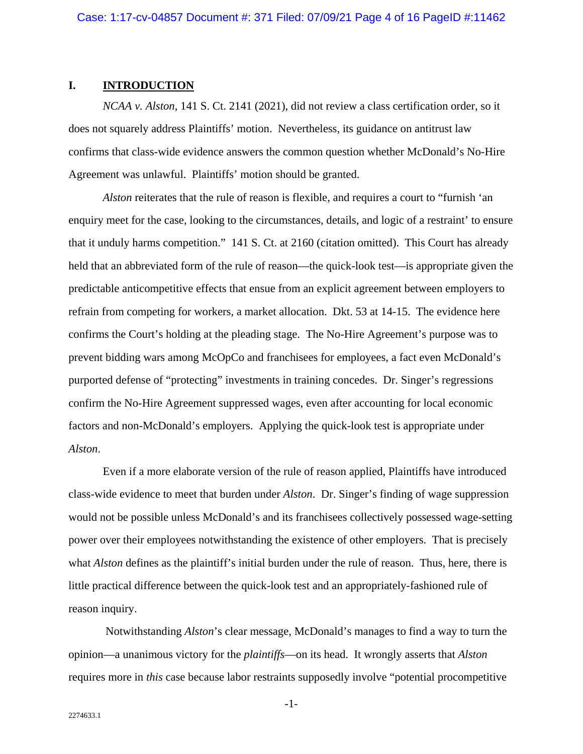### **I. INTRODUCTION**

*NCAA v. Alston*, 141 S. Ct. 2141 (2021), did not review a class certification order, so it does not squarely address Plaintiffs' motion. Nevertheless, its guidance on antitrust law confirms that class-wide evidence answers the common question whether McDonald's No-Hire Agreement was unlawful. Plaintiffs' motion should be granted.

*Alston* reiterates that the rule of reason is flexible, and requires a court to "furnish 'an enquiry meet for the case, looking to the circumstances, details, and logic of a restraint' to ensure that it unduly harms competition." 141 S. Ct. at 2160 (citation omitted). This Court has already held that an abbreviated form of the rule of reason—the quick-look test—is appropriate given the predictable anticompetitive effects that ensue from an explicit agreement between employers to refrain from competing for workers, a market allocation. Dkt. 53 at 14-15. The evidence here confirms the Court's holding at the pleading stage. The No-Hire Agreement's purpose was to prevent bidding wars among McOpCo and franchisees for employees, a fact even McDonald's purported defense of "protecting" investments in training concedes. Dr. Singer's regressions confirm the No-Hire Agreement suppressed wages, even after accounting for local economic factors and non-McDonald's employers. Applying the quick-look test is appropriate under *Alston*.

Even if a more elaborate version of the rule of reason applied, Plaintiffs have introduced class-wide evidence to meet that burden under *Alston*. Dr. Singer's finding of wage suppression would not be possible unless McDonald's and its franchisees collectively possessed wage-setting power over their employees notwithstanding the existence of other employers. That is precisely what *Alston* defines as the plaintiff's initial burden under the rule of reason. Thus, here, there is little practical difference between the quick-look test and an appropriately-fashioned rule of reason inquiry.

 Notwithstanding *Alston*'s clear message, McDonald's manages to find a way to turn the opinion—a unanimous victory for the *plaintiffs*—on its head. It wrongly asserts that *Alston* requires more in *this* case because labor restraints supposedly involve "potential procompetitive

-1-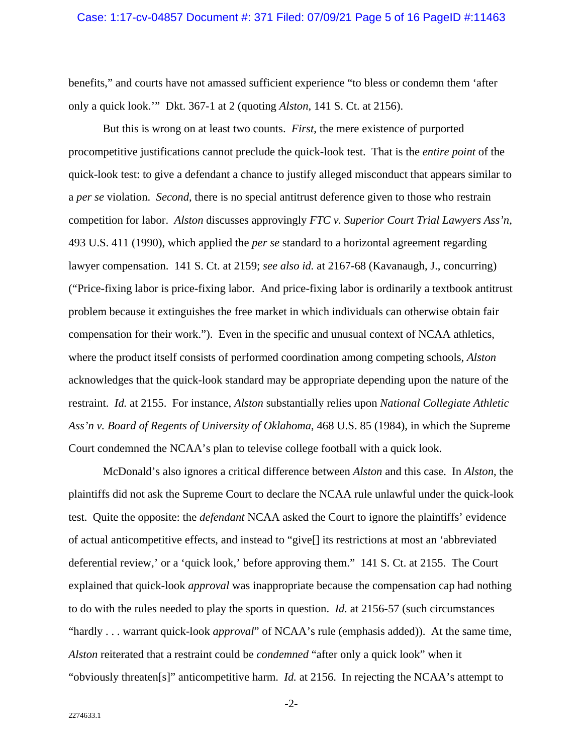benefits," and courts have not amassed sufficient experience "to bless or condemn them 'after only a quick look.'" Dkt. 367-1 at 2 (quoting *Alston*, 141 S. Ct. at 2156).

But this is wrong on at least two counts. *First*, the mere existence of purported procompetitive justifications cannot preclude the quick-look test. That is the *entire point* of the quick-look test: to give a defendant a chance to justify alleged misconduct that appears similar to a *per se* violation. *Second*, there is no special antitrust deference given to those who restrain competition for labor. *Alston* discusses approvingly *FTC v. Superior Court Trial Lawyers Ass'n*, 493 U.S. 411 (1990), which applied the *per se* standard to a horizontal agreement regarding lawyer compensation. 141 S. Ct. at 2159; *see also id.* at 2167-68 (Kavanaugh, J., concurring) ("Price-fixing labor is price-fixing labor. And price-fixing labor is ordinarily a textbook antitrust problem because it extinguishes the free market in which individuals can otherwise obtain fair compensation for their work."). Even in the specific and unusual context of NCAA athletics, where the product itself consists of performed coordination among competing schools, *Alston* acknowledges that the quick-look standard may be appropriate depending upon the nature of the restraint. *Id.* at 2155. For instance, *Alston* substantially relies upon *National Collegiate Athletic Ass'n v. Board of Regents of University of Oklahoma*, 468 U.S. 85 (1984), in which the Supreme Court condemned the NCAA's plan to televise college football with a quick look.

McDonald's also ignores a critical difference between *Alston* and this case. In *Alston*, the plaintiffs did not ask the Supreme Court to declare the NCAA rule unlawful under the quick-look test. Quite the opposite: the *defendant* NCAA asked the Court to ignore the plaintiffs' evidence of actual anticompetitive effects, and instead to "give[] its restrictions at most an 'abbreviated deferential review,' or a 'quick look,' before approving them." 141 S. Ct. at 2155. The Court explained that quick-look *approval* was inappropriate because the compensation cap had nothing to do with the rules needed to play the sports in question. *Id.* at 2156-57 (such circumstances "hardly . . . warrant quick-look *approval*" of NCAA's rule (emphasis added)). At the same time, *Alston* reiterated that a restraint could be *condemned* "after only a quick look" when it "obviously threaten[s]" anticompetitive harm. *Id.* at 2156. In rejecting the NCAA's attempt to

-2-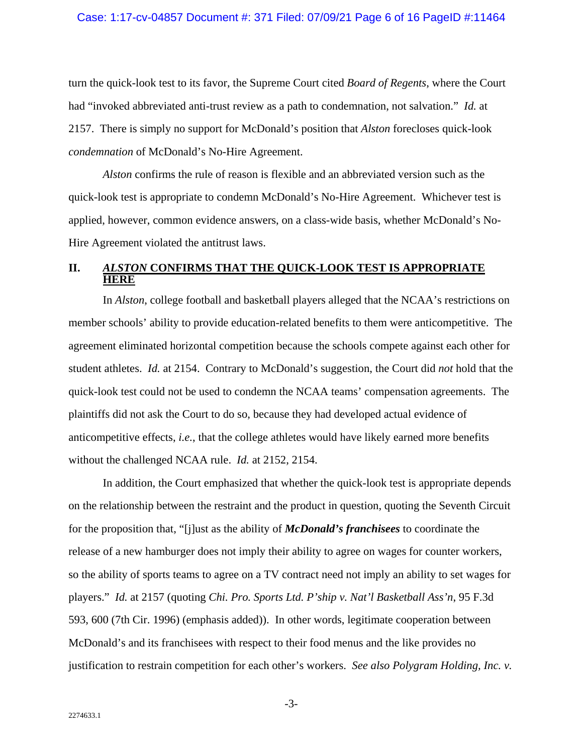turn the quick-look test to its favor, the Supreme Court cited *Board of Regents*, where the Court had "invoked abbreviated anti-trust review as a path to condemnation, not salvation." *Id.* at 2157. There is simply no support for McDonald's position that *Alston* forecloses quick-look *condemnation* of McDonald's No-Hire Agreement.

*Alston* confirms the rule of reason is flexible and an abbreviated version such as the quick-look test is appropriate to condemn McDonald's No-Hire Agreement. Whichever test is applied, however, common evidence answers, on a class-wide basis, whether McDonald's No-Hire Agreement violated the antitrust laws.

### **II.** *ALSTON* **CONFIRMS THAT THE QUICK-LOOK TEST IS APPROPRIATE HERE**

In *Alston*, college football and basketball players alleged that the NCAA's restrictions on member schools' ability to provide education-related benefits to them were anticompetitive. The agreement eliminated horizontal competition because the schools compete against each other for student athletes. *Id.* at 2154. Contrary to McDonald's suggestion, the Court did *not* hold that the quick-look test could not be used to condemn the NCAA teams' compensation agreements. The plaintiffs did not ask the Court to do so, because they had developed actual evidence of anticompetitive effects, *i.e.*, that the college athletes would have likely earned more benefits without the challenged NCAA rule. *Id.* at 2152, 2154.

In addition, the Court emphasized that whether the quick-look test is appropriate depends on the relationship between the restraint and the product in question, quoting the Seventh Circuit for the proposition that, "[j]ust as the ability of *McDonald's franchisees* to coordinate the release of a new hamburger does not imply their ability to agree on wages for counter workers, so the ability of sports teams to agree on a TV contract need not imply an ability to set wages for players." *Id.* at 2157 (quoting *Chi. Pro. Sports Ltd. P'ship v. Nat'l Basketball Ass'n*, 95 F.3d 593, 600 (7th Cir. 1996) (emphasis added)). In other words, legitimate cooperation between McDonald's and its franchisees with respect to their food menus and the like provides no justification to restrain competition for each other's workers. *See also Polygram Holding, Inc. v.* 

-3-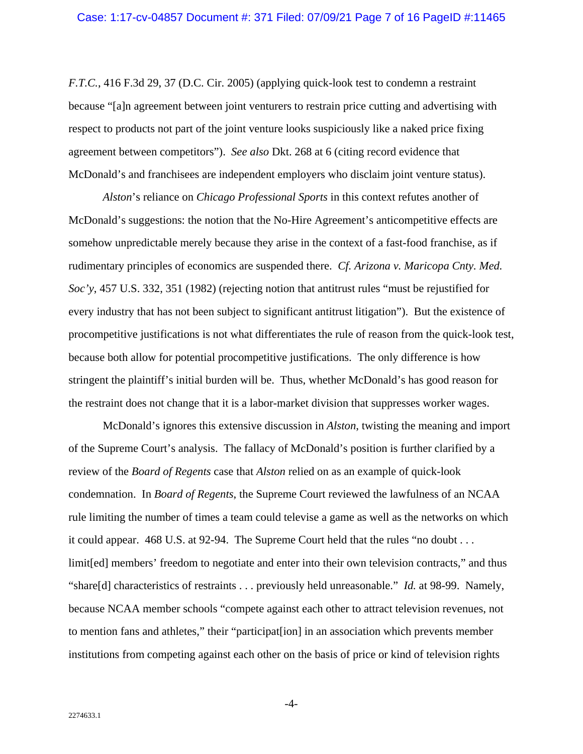*F.T.C.*, 416 F.3d 29, 37 (D.C. Cir. 2005) (applying quick-look test to condemn a restraint because "[a]n agreement between joint venturers to restrain price cutting and advertising with respect to products not part of the joint venture looks suspiciously like a naked price fixing agreement between competitors"). *See also* Dkt. 268 at 6 (citing record evidence that McDonald's and franchisees are independent employers who disclaim joint venture status).

*Alston*'s reliance on *Chicago Professional Sports* in this context refutes another of McDonald's suggestions: the notion that the No-Hire Agreement's anticompetitive effects are somehow unpredictable merely because they arise in the context of a fast-food franchise, as if rudimentary principles of economics are suspended there. *Cf. Arizona v. Maricopa Cnty. Med. Soc'y*, 457 U.S. 332, 351 (1982) (rejecting notion that antitrust rules "must be rejustified for every industry that has not been subject to significant antitrust litigation"). But the existence of procompetitive justifications is not what differentiates the rule of reason from the quick-look test, because both allow for potential procompetitive justifications. The only difference is how stringent the plaintiff's initial burden will be. Thus, whether McDonald's has good reason for the restraint does not change that it is a labor-market division that suppresses worker wages.

McDonald's ignores this extensive discussion in *Alston*, twisting the meaning and import of the Supreme Court's analysis. The fallacy of McDonald's position is further clarified by a review of the *Board of Regents* case that *Alston* relied on as an example of quick-look condemnation. In *Board of Regents*, the Supreme Court reviewed the lawfulness of an NCAA rule limiting the number of times a team could televise a game as well as the networks on which it could appear. 468 U.S. at 92-94. The Supreme Court held that the rules "no doubt . . . limit[ed] members' freedom to negotiate and enter into their own television contracts," and thus "share[d] characteristics of restraints . . . previously held unreasonable." *Id.* at 98-99. Namely, because NCAA member schools "compete against each other to attract television revenues, not to mention fans and athletes," their "participat[ion] in an association which prevents member institutions from competing against each other on the basis of price or kind of television rights

-4-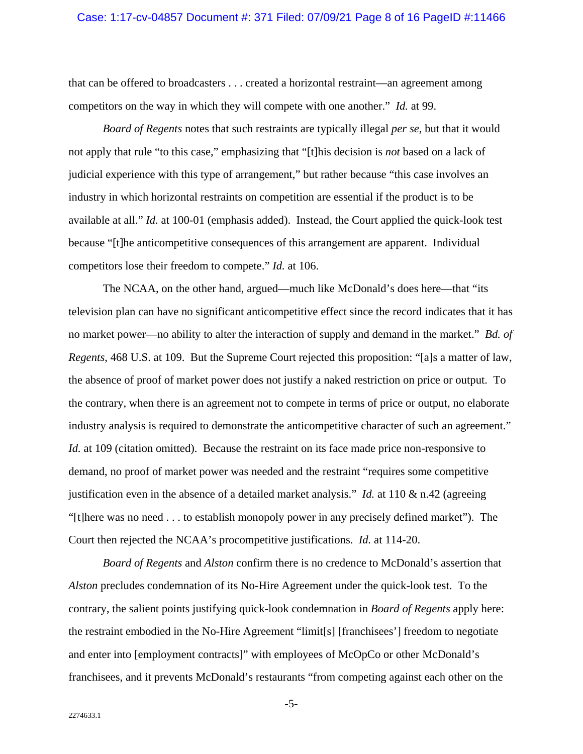that can be offered to broadcasters . . . created a horizontal restraint—an agreement among competitors on the way in which they will compete with one another." *Id.* at 99.

*Board of Regents* notes that such restraints are typically illegal *per se*, but that it would not apply that rule "to this case," emphasizing that "[t]his decision is *not* based on a lack of judicial experience with this type of arrangement," but rather because "this case involves an industry in which horizontal restraints on competition are essential if the product is to be available at all." *Id.* at 100-01 (emphasis added). Instead, the Court applied the quick-look test because "[t]he anticompetitive consequences of this arrangement are apparent. Individual competitors lose their freedom to compete." *Id.* at 106.

The NCAA, on the other hand, argued—much like McDonald's does here—that "its television plan can have no significant anticompetitive effect since the record indicates that it has no market power—no ability to alter the interaction of supply and demand in the market." *Bd. of Regents*, 468 U.S. at 109. But the Supreme Court rejected this proposition: "[a]s a matter of law, the absence of proof of market power does not justify a naked restriction on price or output. To the contrary, when there is an agreement not to compete in terms of price or output, no elaborate industry analysis is required to demonstrate the anticompetitive character of such an agreement." *Id.* at 109 (citation omitted). Because the restraint on its face made price non-responsive to demand, no proof of market power was needed and the restraint "requires some competitive justification even in the absence of a detailed market analysis." *Id.* at 110 & n.42 (agreeing "[t]here was no need . . . to establish monopoly power in any precisely defined market"). The Court then rejected the NCAA's procompetitive justifications. *Id.* at 114-20.

*Board of Regents* and *Alston* confirm there is no credence to McDonald's assertion that *Alston* precludes condemnation of its No-Hire Agreement under the quick-look test. To the contrary, the salient points justifying quick-look condemnation in *Board of Regents* apply here: the restraint embodied in the No-Hire Agreement "limit[s] [franchisees'] freedom to negotiate and enter into [employment contracts]" with employees of McOpCo or other McDonald's franchisees, and it prevents McDonald's restaurants "from competing against each other on the

-5-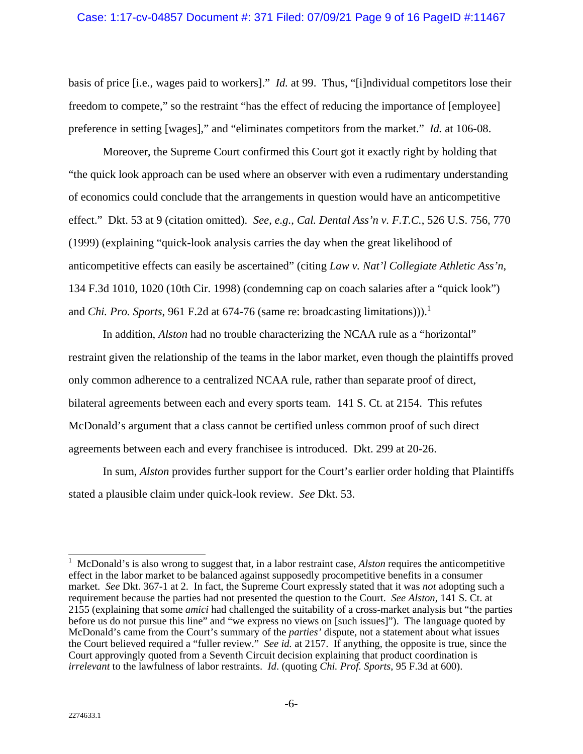basis of price [i.e., wages paid to workers]." *Id.* at 99. Thus, "[i]ndividual competitors lose their freedom to compete," so the restraint "has the effect of reducing the importance of [employee] preference in setting [wages]," and "eliminates competitors from the market." *Id.* at 106-08.

Moreover, the Supreme Court confirmed this Court got it exactly right by holding that "the quick look approach can be used where an observer with even a rudimentary understanding of economics could conclude that the arrangements in question would have an anticompetitive effect." Dkt. 53 at 9 (citation omitted). *See*, *e.g.*, *Cal. Dental Ass'n v. F.T.C.*, 526 U.S. 756, 770 (1999) (explaining "quick-look analysis carries the day when the great likelihood of anticompetitive effects can easily be ascertained" (citing *Law v. Nat'l Collegiate Athletic Ass'n*, 134 F.3d 1010, 1020 (10th Cir. 1998) (condemning cap on coach salaries after a "quick look") and *Chi. Pro. Sports*, 961 F.2d at 674-76 (same re: broadcasting limitations))).<sup>1</sup>

In addition, *Alston* had no trouble characterizing the NCAA rule as a "horizontal" restraint given the relationship of the teams in the labor market, even though the plaintiffs proved only common adherence to a centralized NCAA rule, rather than separate proof of direct, bilateral agreements between each and every sports team. 141 S. Ct. at 2154. This refutes McDonald's argument that a class cannot be certified unless common proof of such direct agreements between each and every franchisee is introduced. Dkt. 299 at 20-26.

In sum, *Alston* provides further support for the Court's earlier order holding that Plaintiffs stated a plausible claim under quick-look review. *See* Dkt. 53.

 $\overline{1}$ 1 McDonald's is also wrong to suggest that, in a labor restraint case, *Alston* requires the anticompetitive effect in the labor market to be balanced against supposedly procompetitive benefits in a consumer market. *See* Dkt. 367-1 at 2. In fact, the Supreme Court expressly stated that it was *not* adopting such a requirement because the parties had not presented the question to the Court. *See Alston*, 141 S. Ct. at 2155 (explaining that some *amici* had challenged the suitability of a cross-market analysis but "the parties before us do not pursue this line" and "we express no views on [such issues]"). The language quoted by McDonald's came from the Court's summary of the *parties'* dispute, not a statement about what issues the Court believed required a "fuller review." *See id.* at 2157. If anything, the opposite is true, since the Court approvingly quoted from a Seventh Circuit decision explaining that product coordination is *irrelevant* to the lawfulness of labor restraints. *Id*. (quoting *Chi. Prof. Sports*, 95 F.3d at 600).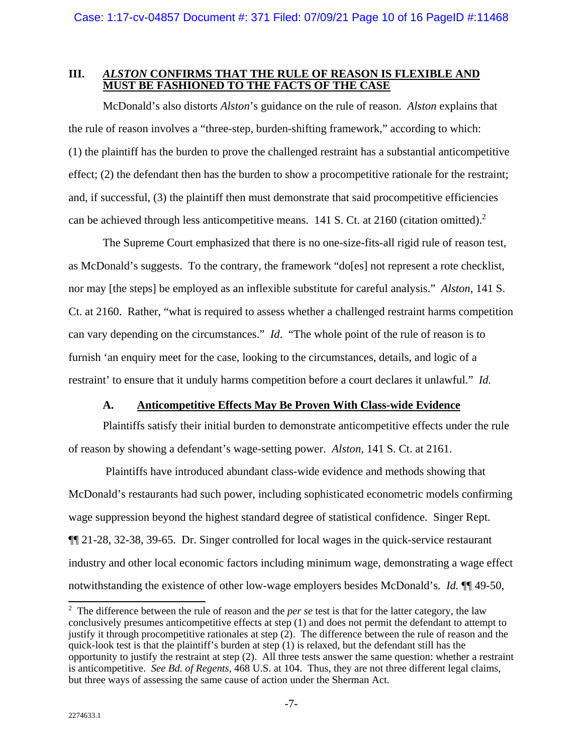#### **III.** *ALSTON* **CONFIRMS THAT THE RULE OF REASON IS FLEXIBLE AND MUST BE FASHIONED TO THE FACTS OF THE CASE**

McDonald's also distorts *Alston*'s guidance on the rule of reason. *Alston* explains that the rule of reason involves a "three-step, burden-shifting framework," according to which: (1) the plaintiff has the burden to prove the challenged restraint has a substantial anticompetitive effect; (2) the defendant then has the burden to show a procompetitive rationale for the restraint; and, if successful, (3) the plaintiff then must demonstrate that said procompetitive efficiencies can be achieved through less anticompetitive means. 141 S. Ct. at 2160 (citation omitted).<sup>2</sup>

The Supreme Court emphasized that there is no one-size-fits-all rigid rule of reason test, as McDonald's suggests. To the contrary, the framework "do[es] not represent a rote checklist, nor may [the steps] be employed as an inflexible substitute for careful analysis." *Alston*, 141 S. Ct. at 2160. Rather, "what is required to assess whether a challenged restraint harms competition can vary depending on the circumstances." *Id*. "The whole point of the rule of reason is to furnish 'an enquiry meet for the case, looking to the circumstances, details, and logic of a restraint' to ensure that it unduly harms competition before a court declares it unlawful." *Id.*

## **A. Anticompetitive Effects May Be Proven With Class-wide Evidence**

Plaintiffs satisfy their initial burden to demonstrate anticompetitive effects under the rule of reason by showing a defendant's wage-setting power. *Alston*, 141 S. Ct. at 2161.

 Plaintiffs have introduced abundant class-wide evidence and methods showing that McDonald's restaurants had such power, including sophisticated econometric models confirming wage suppression beyond the highest standard degree of statistical confidence. Singer Rept. ¶¶ 21-28, 32-38, 39-65. Dr. Singer controlled for local wages in the quick-service restaurant industry and other local economic factors including minimum wage, demonstrating a wage effect notwithstanding the existence of other low-wage employers besides McDonald's. *Id.* ¶¶ 49-50,

<sup>&</sup>lt;sup>2</sup> The difference between the rule of reason and the *per se* test is that for the latter category, the law conclusively presumes anticompetitive effects at step (1) and does not permit the defendant to attempt to justify it through procompetitive rationales at step (2). The difference between the rule of reason and the quick-look test is that the plaintiff's burden at step (1) is relaxed, but the defendant still has the opportunity to justify the restraint at step (2). All three tests answer the same question: whether a restraint is anticompetitive. *See Bd. of Regents*, 468 U.S. at 104. Thus, they are not three different legal claims, but three ways of assessing the same cause of action under the Sherman Act.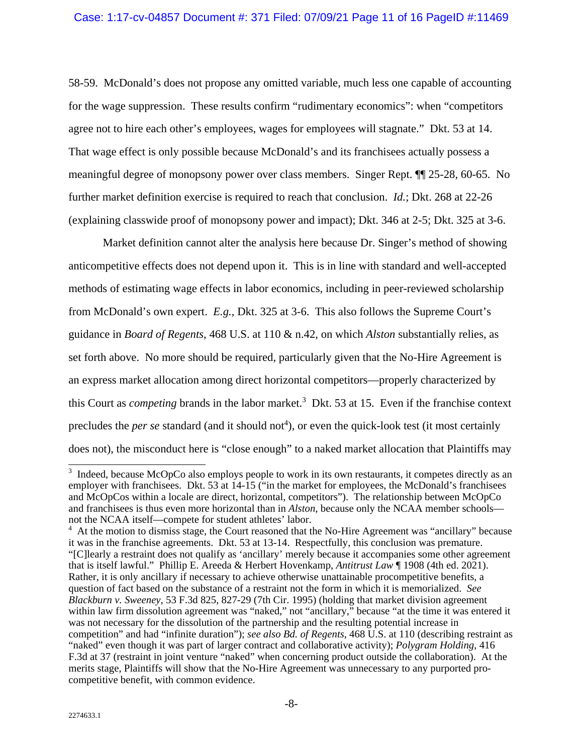58-59. McDonald's does not propose any omitted variable, much less one capable of accounting for the wage suppression. These results confirm "rudimentary economics": when "competitors agree not to hire each other's employees, wages for employees will stagnate." Dkt. 53 at 14. That wage effect is only possible because McDonald's and its franchisees actually possess a meaningful degree of monopsony power over class members. Singer Rept. ¶¶ 25-28, 60-65. No further market definition exercise is required to reach that conclusion. *Id.*; Dkt. 268 at 22-26 (explaining classwide proof of monopsony power and impact); Dkt. 346 at 2-5; Dkt. 325 at 3-6.

Market definition cannot alter the analysis here because Dr. Singer's method of showing anticompetitive effects does not depend upon it. This is in line with standard and well-accepted methods of estimating wage effects in labor economics, including in peer-reviewed scholarship from McDonald's own expert. *E.g.*, Dkt. 325 at 3-6. This also follows the Supreme Court's guidance in *Board of Regents*, 468 U.S. at 110 & n.42, on which *Alston* substantially relies, as set forth above. No more should be required, particularly given that the No-Hire Agreement is an express market allocation among direct horizontal competitors—properly characterized by this Court as *competing* brands in the labor market.<sup>3</sup> Dkt. 53 at 15. Even if the franchise context precludes the *per se* standard (and it should not<sup>4</sup>), or even the quick-look test (it most certainly does not), the misconduct here is "close enough" to a naked market allocation that Plaintiffs may

<sup>&</sup>lt;sup>3</sup> Indeed, because McOpCo also employs people to work in its own restaurants, it competes directly as an employer with franchisees. Dkt. 53 at 14-15 ("in the market for employees, the McDonald's franchisees and McOpCos within a locale are direct, horizontal, competitors"). The relationship between McOpCo and franchisees is thus even more horizontal than in *Alston*, because only the NCAA member schools not the NCAA itself—compete for student athletes' labor.

<sup>&</sup>lt;sup>4</sup> At the motion to dismiss stage, the Court reasoned that the No-Hire Agreement was "ancillary" because it was in the franchise agreements. Dkt. 53 at 13-14. Respectfully, this conclusion was premature. "[C]learly a restraint does not qualify as 'ancillary' merely because it accompanies some other agreement that is itself lawful." Phillip E. Areeda & Herbert Hovenkamp, *Antitrust Law* ¶ 1908 (4th ed. 2021). Rather, it is only ancillary if necessary to achieve otherwise unattainable procompetitive benefits, a question of fact based on the substance of a restraint not the form in which it is memorialized. *See Blackburn v. Sweeney*, 53 F.3d 825, 827-29 (7th Cir. 1995) (holding that market division agreement within law firm dissolution agreement was "naked," not "ancillary," because "at the time it was entered it was not necessary for the dissolution of the partnership and the resulting potential increase in competition" and had "infinite duration"); *see also Bd. of Regents*, 468 U.S. at 110 (describing restraint as "naked" even though it was part of larger contract and collaborative activity); *Polygram Holding*, 416 F.3d at 37 (restraint in joint venture "naked" when concerning product outside the collaboration). At the merits stage, Plaintiffs will show that the No-Hire Agreement was unnecessary to any purported procompetitive benefit, with common evidence.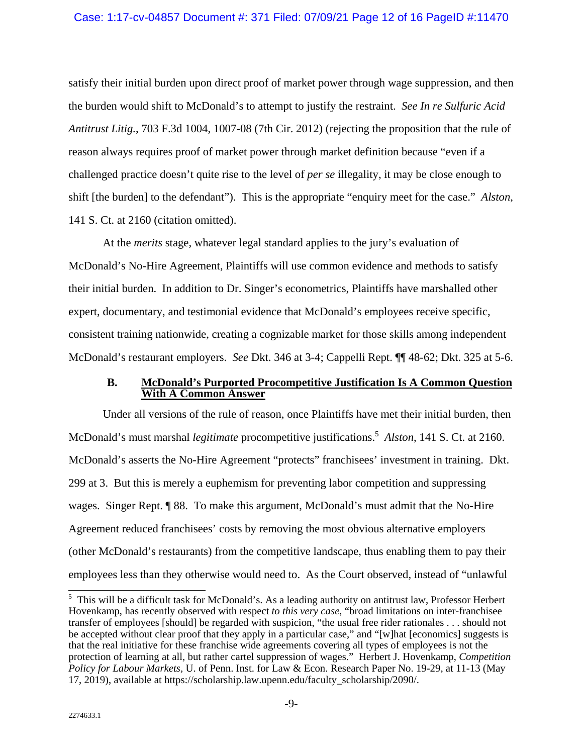#### Case: 1:17-cv-04857 Document #: 371 Filed: 07/09/21 Page 12 of 16 PageID #:11470

satisfy their initial burden upon direct proof of market power through wage suppression, and then the burden would shift to McDonald's to attempt to justify the restraint. *See In re Sulfuric Acid Antitrust Litig.*, 703 F.3d 1004, 1007-08 (7th Cir. 2012) (rejecting the proposition that the rule of reason always requires proof of market power through market definition because "even if a challenged practice doesn't quite rise to the level of *per se* illegality, it may be close enough to shift [the burden] to the defendant"). This is the appropriate "enquiry meet for the case." *Alston*, 141 S. Ct. at 2160 (citation omitted).

At the *merits* stage, whatever legal standard applies to the jury's evaluation of McDonald's No-Hire Agreement, Plaintiffs will use common evidence and methods to satisfy their initial burden. In addition to Dr. Singer's econometrics, Plaintiffs have marshalled other expert, documentary, and testimonial evidence that McDonald's employees receive specific, consistent training nationwide, creating a cognizable market for those skills among independent McDonald's restaurant employers. *See* Dkt. 346 at 3-4; Cappelli Rept. ¶¶ 48-62; Dkt. 325 at 5-6.

#### **B. McDonald's Purported Procompetitive Justification Is A Common Question With A Common Answer**

Under all versions of the rule of reason, once Plaintiffs have met their initial burden, then McDonald's must marshal *legitimate* procompetitive justifications.5 *Alston*, 141 S. Ct. at 2160. McDonald's asserts the No-Hire Agreement "protects" franchisees' investment in training. Dkt. 299 at 3. But this is merely a euphemism for preventing labor competition and suppressing wages. Singer Rept. ¶ 88. To make this argument, McDonald's must admit that the No-Hire Agreement reduced franchisees' costs by removing the most obvious alternative employers (other McDonald's restaurants) from the competitive landscape, thus enabling them to pay their employees less than they otherwise would need to. As the Court observed, instead of "unlawful

<sup>&</sup>lt;sup>5</sup> This will be a difficult task for McDonald's. As a leading authority on antitrust law, Professor Herbert Hovenkamp, has recently observed with respect *to this very case*, "broad limitations on inter-franchisee transfer of employees [should] be regarded with suspicion, "the usual free rider rationales . . . should not be accepted without clear proof that they apply in a particular case," and "[w]hat [economics] suggests is that the real initiative for these franchise wide agreements covering all types of employees is not the protection of learning at all, but rather cartel suppression of wages." Herbert J. Hovenkamp, *Competition Policy for Labour Markets,* U. of Penn. Inst. for Law & Econ. Research Paper No. 19-29, at 11-13 (May 17, 2019), available at https://scholarship.law.upenn.edu/faculty\_scholarship/2090/.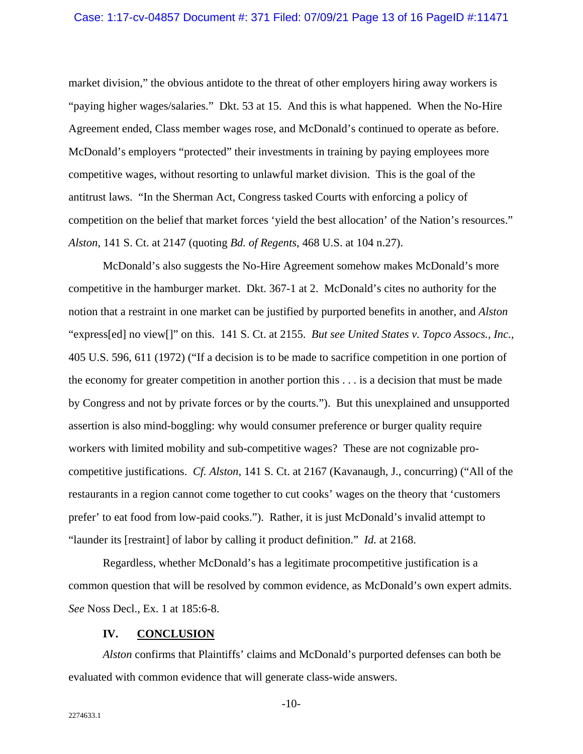#### Case: 1:17-cv-04857 Document #: 371 Filed: 07/09/21 Page 13 of 16 PageID #:11471

market division," the obvious antidote to the threat of other employers hiring away workers is "paying higher wages/salaries." Dkt. 53 at 15. And this is what happened. When the No-Hire Agreement ended, Class member wages rose, and McDonald's continued to operate as before. McDonald's employers "protected" their investments in training by paying employees more competitive wages, without resorting to unlawful market division. This is the goal of the antitrust laws. "In the Sherman Act, Congress tasked Courts with enforcing a policy of competition on the belief that market forces 'yield the best allocation' of the Nation's resources." *Alston*, 141 S. Ct. at 2147 (quoting *Bd. of Regents*, 468 U.S. at 104 n.27).

McDonald's also suggests the No-Hire Agreement somehow makes McDonald's more competitive in the hamburger market. Dkt. 367-1 at 2. McDonald's cites no authority for the notion that a restraint in one market can be justified by purported benefits in another, and *Alston*  "express[ed] no view[]" on this. 141 S. Ct. at 2155. *But see United States v. Topco Assocs., Inc.*, 405 U.S. 596, 611 (1972) ("If a decision is to be made to sacrifice competition in one portion of the economy for greater competition in another portion this . . . is a decision that must be made by Congress and not by private forces or by the courts."). But this unexplained and unsupported assertion is also mind-boggling: why would consumer preference or burger quality require workers with limited mobility and sub-competitive wages? These are not cognizable procompetitive justifications. *Cf. Alston*, 141 S. Ct. at 2167 (Kavanaugh, J., concurring) ("All of the restaurants in a region cannot come together to cut cooks' wages on the theory that 'customers prefer' to eat food from low-paid cooks."). Rather, it is just McDonald's invalid attempt to "launder its [restraint] of labor by calling it product definition." *Id.* at 2168.

Regardless, whether McDonald's has a legitimate procompetitive justification is a common question that will be resolved by common evidence, as McDonald's own expert admits. *See* Noss Decl., Ex. 1 at 185:6-8.

#### **IV. CONCLUSION**

*Alston* confirms that Plaintiffs' claims and McDonald's purported defenses can both be evaluated with common evidence that will generate class-wide answers.

-10-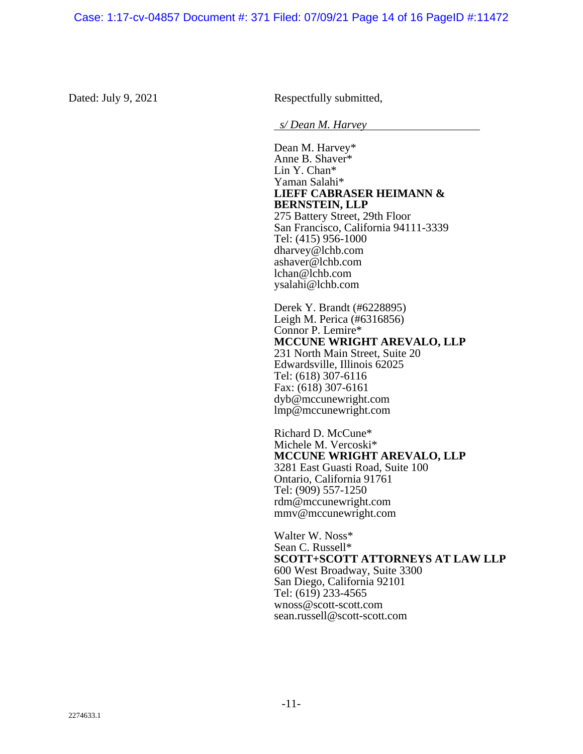Dated: July 9, 2021 Respectfully submitted,

*s/ Dean M. Harvey*

Dean M. Harvey\* Anne B. Shaver\* Lin Y. Chan\* Yaman Salahi\* **LIEFF CABRASER HEIMANN & BERNSTEIN, LLP**  275 Battery Street, 29th Floor San Francisco, California 94111-3339 Tel: (415) 956-1000 dharvey@lchb.com ashaver@lchb.com lchan@lchb.com ysalahi@lchb.com

Derek Y. Brandt (#6228895) Leigh M. Perica (#6316856) Connor P. Lemire\* **MCCUNE WRIGHT AREVALO, LLP**  231 North Main Street, Suite 20 Edwardsville, Illinois 62025 Tel: (618) 307-6116 Fax: (618) 307-6161 dyb@mccunewright.com lmp@mccunewright.com

Richard D. McCune\* Michele M. Vercoski\* **MCCUNE WRIGHT AREVALO, LLP**  3281 East Guasti Road, Suite 100 Ontario, California 91761 Tel: (909) 557-1250 rdm@mccunewright.com mmv@mccunewright.com

Walter W. Noss\* Sean C. Russell\* **SCOTT+SCOTT ATTORNEYS AT LAW LLP**  600 West Broadway, Suite 3300 San Diego, California 92101 Tel:  $(61\overline{9})$  233-4565 wnoss@scott-scott.com sean.russell@scott-scott.com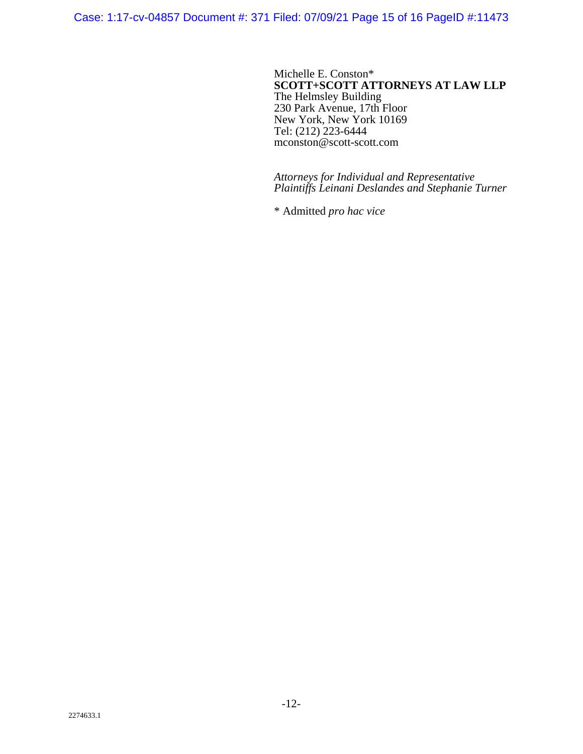Case: 1:17-cv-04857 Document #: 371 Filed: 07/09/21 Page 15 of 16 PageID #:11473

Michelle E. Conston\* **SCOTT+SCOTT ATTORNEYS AT LAW LLP**  The Helmsley Building 230 Park Avenue, 17th Floor New York, New York 10169 Tel: (212) 223-6444 mconston@scott-scott.com

*Attorneys for Individual and Representative Plaintiffs Leinani Deslandes and Stephanie Turner* 

\* Admitted *pro hac vice*